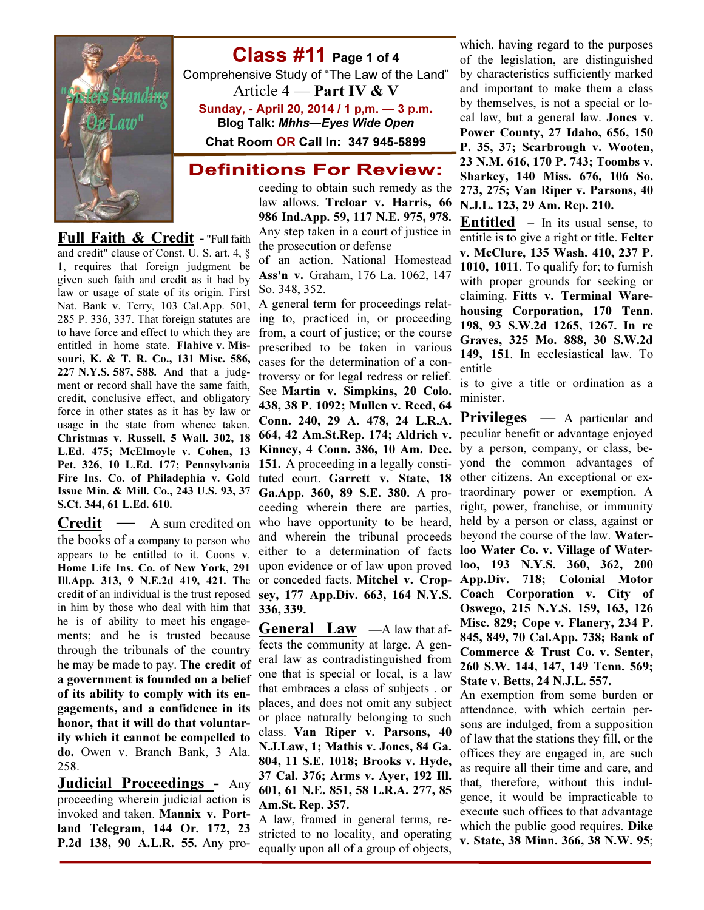

Class #11 Page 1 of 4 Comprehensive Study of "The Law of the Land"

Article  $4$  — Part IV & V Sunday, - April 20, 2014 / 1 p,m. — 3 p.m. Blog Talk: Mhhs—Eyes Wide Open

Chat Room OR Call In: 347 945-5899

## **Definitions For Review:**

ceeding to obtain such remedy as the law allows. Treloar v. Harris, 66 986 Ind.App. 59, 117 N.E. 975, 978. Any step taken in a court of justice in the prosecution or defense

of an action. National Homestead Ass'n v. Graham, 176 La. 1062, 147 So. 348, 352.

L.Ed. 475; McElmoyle v. Cohen, 13 Kinney, 4 Conn. 386, 10 Am. Dec. **Credit** — A sum credited on who have opportunity to be heard, ing to, practiced in, or proceeding from, a court of justice; or the course prescribed to be taken in various cases for the determination of a controversy or for legal redress or relief. See Martin v. Simpkins, 20 Colo. 438, 38 P. 1092; Mullen v. Reed, 64 Conn. 240, 29 A. 478, 24 L.R.A. 664, 42 Am.St.Rep. 174; Aldrich v. 151. A proceeding in a legally constituted court. Garrett v. State, 18 Ga.App. 360, 89 S.E. 380. A proceeding wherein there are parties, and wherein the tribunal proceeds either to a determination of facts upon evidence or of law upon proved or conceded facts. Mitchel v. Cropsey, 177 App.Div. 663, 164 N.Y.S. 336, 339.

> **General**  $\text{Law}$   $-A$  law that affects the community at large. A general law as contradistinguished from one that is special or local, is a law that embraces a class of subjects . or places, and does not omit any subject or place naturally belonging to such class. Van Riper v. Parsons, 40 N.J.Law, 1; Mathis v. Jones, 84 Ga. 804, 11 S.E. 1018; Brooks v. Hyde, 37 Cal. 376; Arms v. Ayer, 192 Ill. 601, 61 N.E. 851, 58 L.R.A. 277, 85 Am.St. Rep. 357.

> A law, framed in general terms, restricted to no locality, and operating equally upon all of a group of objects,

which, having regard to the purposes of the legislation, are distinguished by characteristics sufficiently marked and important to make them a class by themselves, is not a special or local law, but a general law. Jones v. Power County, 27 Idaho, 656, 150 P. 35, 37; Scarbrough v. Wooten, 23 N.M. 616, 170 P. 743; Toombs v. Sharkey, 140 Miss. 676, 106 So. 273, 275; Van Riper v. Parsons, 40 N.J.L. 123, 29 Am. Rep. 210.

Entitled – In its usual sense, to entitle is to give a right or title. Felter v. McClure, 135 Wash. 410, 237 P. 1010, 1011. To qualify for; to furnish with proper grounds for seeking or claiming. Fitts v. Terminal Warehousing Corporation, 170 Tenn. 198, 93 S.W.2d 1265, 1267. In re Graves, 325 Mo. 888, 30 S.W.2d 149, 151. In ecclesiastical law. To entitle

is to give a title or ordination as a minister.

**Privileges** — A particular and peculiar benefit or advantage enjoyed by a person, company, or class, beyond the common advantages of other citizens. An exceptional or extraordinary power or exemption. A right, power, franchise, or immunity held by a person or class, against or beyond the course of the law. Waterloo Water Co. v. Village of Waterloo, 193 N.Y.S. 360, 362, 200 App.Div. 718; Colonial Motor Coach Corporation v. City of Oswego, 215 N.Y.S. 159, 163, 126 Misc. 829; Cope v. Flanery, 234 P. 845, 849, 70 Cal.App. 738; Bank of Commerce & Trust Co. v. Senter, 260 S.W. 144, 147, 149 Tenn. 569; State v. Betts, 24 N.J.L. 557.

An exemption from some burden or attendance, with which certain persons are indulged, from a supposition of law that the stations they fill, or the offices they are engaged in, are such as require all their time and care, and that, therefore, without this indulgence, it would be impracticable to execute such offices to that advantage which the public good requires. **Dike** v. State, 38 Minn. 366, 38 N.W. 95;

**Full Faith & Credit - "Full faith** and credit" clause of Const. U. S. art. 4, § 1, requires that foreign judgment be given such faith and credit as it had by law or usage of state of its origin. First Nat. Bank v. Terry, 103 Cal.App. 501, A general term for proceedings relat-285 P. 336, 337. That foreign statutes are to have force and effect to which they are entitled in home state. Flahive v. Missouri, K. & T. R. Co., 131 Misc. 586, 227 N.Y.S. 587, 588. And that a judgment or record shall have the same faith, credit, conclusive effect, and obligatory force in other states as it has by law or usage in the state from whence taken. Christmas v. Russell, 5 Wall. 302, 18 Pet. 326, 10 L.Ed. 177; Pennsylvania Fire Ins. Co. of Philadephia v. Gold Issue Min. & Mill. Co., 243 U.S. 93, 37 S.Ct. 344, 61 L.Ed. 610.

the books of a company to person who appears to be entitled to it. Coons v. Home Life Ins. Co. of New York, 291 Ill.App. 313, 9 N.E.2d 419, 421. The credit of an individual is the trust reposed in him by those who deal with him that he is of ability to meet his engagements; and he is trusted because through the tribunals of the country he may be made to pay. The credit of a government is founded on a belief of its ability to comply with its engagements, and a confidence in its honor, that it will do that voluntarily which it cannot be compelled to do. Owen v. Branch Bank, 3 Ala. 258.

Judicial Proceedings - Any proceeding wherein judicial action is invoked and taken. Mannix v. Portland Telegram, 144 Or. 172, 23 P.2d 138, 90 A.L.R. 55. Any pro-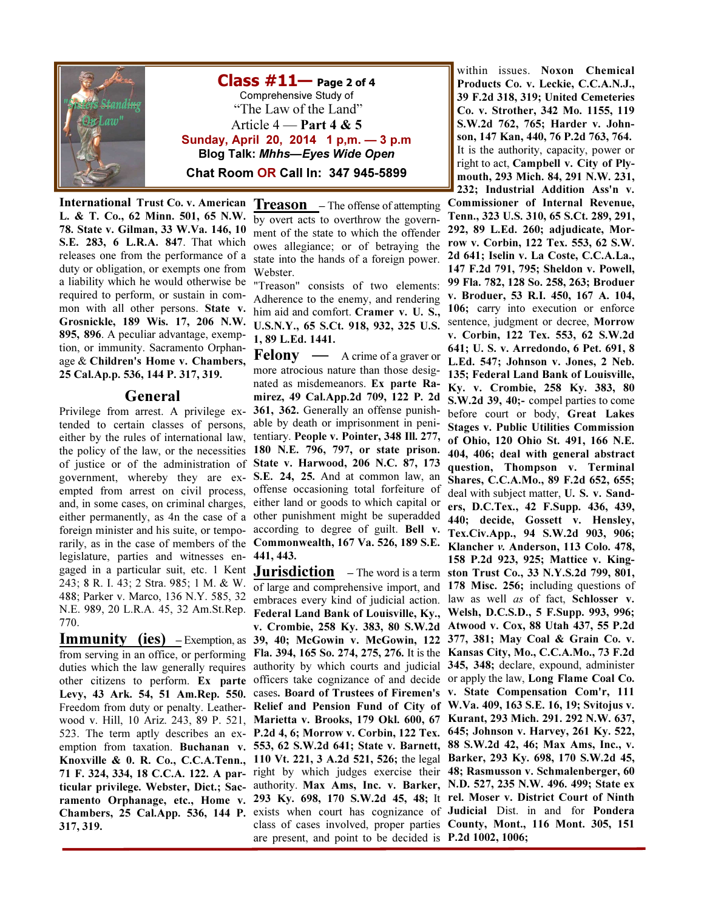

 $\textsf{Class} \ \# \textbf{11}$  Page 2 of 4 Comprehensive Study of "The Law of the Land" Article  $4$  — Part 4 & 5 Sunday, April 20, 2014 1 p,m. — 3 p.m Blog Talk: Mhhs—Eyes Wide Open Chat Room OR Call In: 347 945-5899

International Trust Co. v. American L. & T. Co., 62 Minn. 501, 65 N.W. 78. State v. Gilman, 33 W.Va. 146, 10 S.E. 283, 6 L.R.A. 847. That which releases one from the performance of a duty or obligation, or exempts one from a liability which he would otherwise be required to perform, or sustain in common with all other persons. State v. Grosnickle, 189 Wis. 17, 206 N.W. 895, 896. A peculiar advantage, exemption, or immunity. Sacramento Orphanage & Children's Home v. Chambers, 25 Cal.Ap.p. 536, 144 P. 317, 319.

#### General

Privilege from arrest. A privilege extended to certain classes of persons, either by the rules of international law, the policy of the law, or the necessities 180 N.E. 796, 797, or state prison. of justice or of the administration of government, whereby they are ex-S.E. 24, 25. And at common law, an empted from arrest on civil process, and, in some cases, on criminal charges, either permanently, as 4n the case of a other punishment might be superadded foreign minister and his suite, or temporarily, as in the case of members of the legislature, parties and witnesses engaged in a particular suit, etc. 1 Kent 243; 8 R. I. 43; 2 Stra. 985; 1 M. & W. 488; Parker v. Marco, 136 N.Y. 585, 32 N.E. 989, 20 L.R.A. 45, 32 Am.St.Rep. 770.

**Immunity** (ies)  $-$  Exemption, as from serving in an office, or performing duties which the law generally requires other citizens to perform. Ex parte Levy, 43 Ark. 54, 51 Am.Rep. 550. Freedom from duty or penalty. Leather-317, 319.

Treason - The offense of attempting by overt acts to overthrow the government of the state to which the offender owes allegiance; or of betraying the state into the hands of a foreign power. Webster.

"Treason" consists of two elements: Adherence to the enemy, and rendering him aid and comfort. Cramer v. U. S., U.S.N.Y., 65 S.Ct. 918, 932, 325 U.S. 1, 89 L.Ed. 1441.

Felony — A crime of a graver or more atrocious nature than those designated as misdemeanors. Ex parte Ramirez, 49 Cal.App.2d 709, 122 P. 2d 361, 362. Generally an offense punishable by death or imprisonment in penitentiary. People v. Pointer, 348 Ill. 277, State v. Harwood, 206 N.C. 87, 173 offense occasioning total forfeiture of either land or goods to which capital or according to degree of guilt. Bell v. Commonwealth, 167 Va. 526, 189 S.E. 441, 443.

wood v. Hill, 10 Ariz. 243, 89 P. 521, Marietta v. Brooks, 179 Okl. 600, 67 Kurant, 293 Mich. 291. 292 N.W. 637, 523. The term aptly describes an ex- P.2d 4, 6; Morrow v. Corbin, 122 Tex. 645; Johnson v. Harvey, 261 Ky. 522, emption from taxation. Buchanan v. 553, 62 S.W.2d 641; State v. Barnett, 88 S.W.2d 42, 46; Max Ams, Inc., v. Knoxville & 0. R. Co., C.C.A.Tenn., 110 Vt. 221, 3 A.2d 521, 526; the legal Barker, 293 Ky. 698, 170 S.W.2d 45, 71 F. 324, 334, 18 C.C.A. 122. A par-right by which judges exercise their 48; Rasmusson v. Schmalenberger, 60 ticular privilege. Webster, Dict.; Sac- authority. Max Ams, Inc. v. Barker, N.D. 527, 235 N.W. 496. 499; State ex ramento Orphanage, etc., Home v. 293 Ky. 698, 170 S.W.2d 45, 48; It rel. Moser v. District Court of Ninth Chambers, 25 Cal.App. 536, 144 P. exists when court has cognizance of Judicial Dist. in and for Pondera of large and comprehensive import, and 178 Misc. 256; including questions of embraces every kind of judicial action. law as well as of fact, Schlosser v. Federal Land Bank of Louisville, Ky., Welsh, D.C.S.D., 5 F.Supp. 993, 996; v. Crombie, 258 Ky. 383, 80 S.W.2d Atwood v. Cox, 88 Utah 437, 55 P.2d 39, 40; McGowin v. McGowin, 122 377, 381; May Coal & Grain Co. v. Fla. 394, 165 So. 274, 275, 276. It is the Kansas City, Mo., C.C.A.Mo., 73 F.2d authority by which courts and judicial 345, 348; declare, expound, administer officers take cognizance of and decide or apply the law, Long Flame Coal Co. cases. Board of Trustees of Firemen's v. State Compensation Com'r, 111 Relief and Pension Fund of City of W.Va. 409, 163 S.E. 16, 19; Svitojus v. class of cases involved, proper parties County, Mont., 116 Mont. 305, 151 are present, and point to be decided is P.2d 1002, 1006;

within issues. Noxon Chemical Products Co. v. Leckie, C.C.A.N.J., 39 F.2d 318, 319; United Cemeteries Co. v. Strother, 342 Mo. 1155, 119 S.W.2d 762, 765; Harder v. Johnson, 147 Kan, 440, 76 P.2d 763, 764. It is the authority, capacity, power or right to act, Campbell v. City of Plymouth, 293 Mich. 84, 291 N.W. 231, 232; Industrial Addition Ass'n v.

Jurisdiction – The word is a term ston Trust Co., 33 N.Y.S.2d 799, 801, Commissioner of Internal Revenue, Tenn., 323 U.S. 310, 65 S.Ct. 289, 291, 292, 89 L.Ed. 260; adjudicate, Morrow v. Corbin, 122 Tex. 553, 62 S.W. 2d 641; Iselin v. La Coste, C.C.A.La., 147 F.2d 791, 795; Sheldon v. Powell, 99 Fla. 782, 128 So. 258, 263; Broduer v. Broduer, 53 R.I. 450, 167 A. 104, 106; carry into execution or enforce sentence, judgment or decree, Morrow v. Corbin, 122 Tex. 553, 62 S.W.2d 641; U. S. v. Arredondo, 6 Pet. 691, 8 L.Ed. 547; Johnson v. Jones, 2 Neb. 135; Federal Land Bank of Louisville, Ky. v. Crombie, 258 Ky. 383, 80 S.W.2d 39, 40;- compel parties to come before court or body, Great Lakes Stages v. Public Utilities Commission of Ohio, 120 Ohio St. 491, 166 N.E. 404, 406; deal with general abstract question, Thompson v. Terminal Shares, C.C.A.Mo., 89 F.2d 652, 655; deal with subject matter, U. S. v. Sanders, D.C.Tex., 42 F.Supp. 436, 439, 440; decide, Gossett v. Hensley, Tex.Civ.App., 94 S.W.2d 903, 906; Klancher v. Anderson, 113 Colo. 478, 158 P.2d 923, 925; Mattice v. King-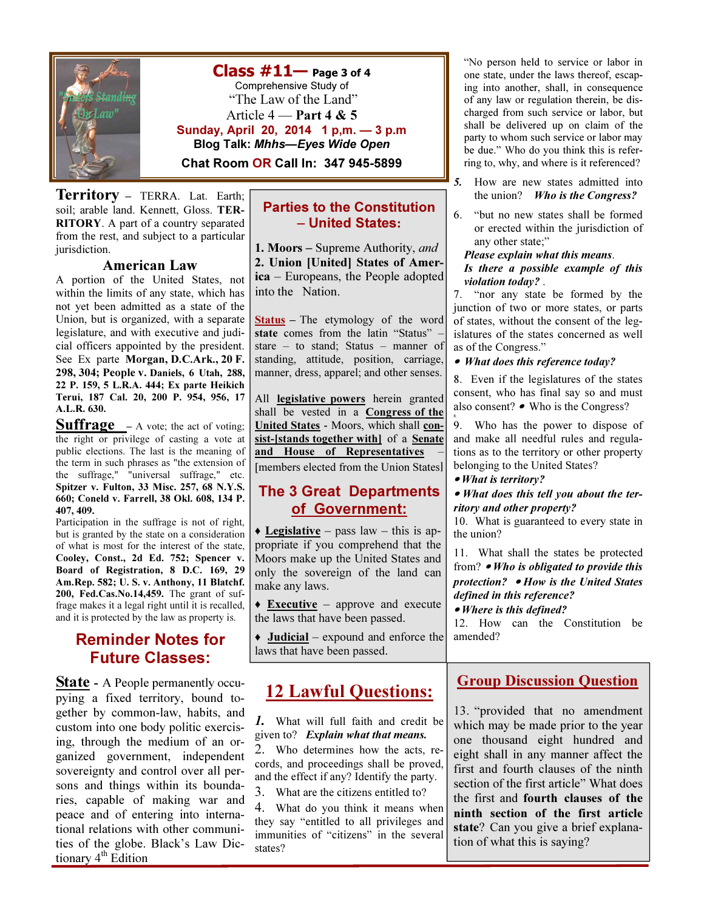

 $Class #11$ — Page 3 of 4 Comprehensive Study of "The Law of the Land" Article  $4$  — Part 4 & 5 Sunday, April 20, 2014 1 p,m. — 3 p.m Blog Talk: Mhhs—Eyes Wide Open Chat Room OR Call In: 347 945-5899

**Territory** – TERRA. Lat. Earth; soil; arable land. Kennett, Gloss. TER-RITORY. A part of a country separated from the rest, and subject to a particular jurisdiction.

#### American Law

A portion of the United States, not within the limits of any state, which has not yet been admitted as a state of the Union, but is organized, with a separate legislature, and with executive and judicial officers appointed by the president. See Ex parte Morgan, D.C.Ark., 20 F. 298, 304; People v. Daniels, 6 Utah, 288, 22 P. 159, 5 L.R.A. 444; Ex parte Heikich Terui, 187 Cal. 20, 200 P. 954, 956, 17 A.L.R. 630.

**Suffrage** - A vote; the act of voting; the right or privilege of casting a vote at public elections. The last is the meaning of the term in such phrases as "the extension of the suffrage," "universal suffrage," etc. Spitzer v. Fulton, 33 Misc. 257, 68 N.Y.S. 660; Coneld v. Farrell, 38 Okl. 608, 134 P. 407, 409.

Participation in the suffrage is not of right, but is granted by the state on a consideration of what is most for the interest of the state, Cooley, Const., 2d Ed. 752; Spencer v. Board of Registration, 8 D.C. 169, 29 Am.Rep. 582; U. S. v. Anthony, 11 Blatchf. 200, Fed.Cas.No.14,459. The grant of suffrage makes it a legal right until it is recalled, and it is protected by the law as property is.

## Reminder Notes for Future Classes:

**State** - A People permanently occupying a fixed territory, bound together by common-law, habits, and custom into one body politic exercising, through the medium of an organized government, independent sovereignty and control over all persons and things within its boundaries, capable of making war and peace and of entering into international relations with other communities of the globe. Black's Law Dictionary 4<sup>th</sup> Edition

#### Parties to the Constitution – United States:

1. Moors – Supreme Authority, and 2. Union [United] States of America – Europeans, the People adopted into the Nation.

Status – The etymology of the word state comes from the latin "Status" – stare – to stand; Status – manner of standing, attitude, position, carriage, manner, dress, apparel; and other senses.

All **legislative powers** herein granted shall be vested in a Congress of the United States - Moors, which shall consist-[stands together with] of a Senate and House of Representatives – [members elected from the Union States]

#### The 3 Great Departments of Government:

 $\triangle$  Legislative – pass law – this is appropriate if you comprehend that the Moors make up the United States and only the sovereign of the land can make any laws.

 $\triangle$  **Executive** – approve and execute the laws that have been passed.

 $\triangleleft$  Judicial – expound and enforce the laws that have been passed.

# 12 Lawful Questions:

1. What will full faith and credit be given to? Explain what that means. 2. Who determines how the acts, records, and proceedings shall be proved, and the effect if any? Identify the party. 3. What are the citizens entitled to?

4. What do you think it means when they say "entitled to all privileges and immunities of "citizens" in the several states?

"No person held to service or labor in one state, under the laws thereof, escaping into another, shall, in consequence of any law or regulation therein, be discharged from such service or labor, but shall be delivered up on claim of the party to whom such service or labor may be due." Who do you think this is referring to, why, and where is it referenced?

- 5. How are new states admitted into the union? Who is the Congress?
- 6. "but no new states shall be formed or erected within the jurisdiction of any other state;"

#### Please explain what this means.

Is there a possible example of this violation today? .

7. "nor any state be formed by the junction of two or more states, or parts of states, without the consent of the legislatures of the states concerned as well as of the Congress."

• What does this reference today?

8. Even if the legislatures of the states consent, who has final say so and must also consent? • Who is the Congress?

9. Who has the power to dispose of and make all needful rules and regulations as to the territory or other property belonging to the United States?

• What is territory?

8.

• What does this tell you about the territory and other property?

10. What is guaranteed to every state in the union?

11. What shall the states be protected from? • Who is obligated to provide this protection? • How is the United States defined in this reference?

• Where is this defined?

12. How can the Constitution be amended?

## **Group Discussion Question**

13. "provided that no amendment which may be made prior to the year one thousand eight hundred and eight shall in any manner affect the first and fourth clauses of the ninth section of the first article" What does the first and fourth clauses of the ninth section of the first article state? Can you give a brief explanation of what this is saying?